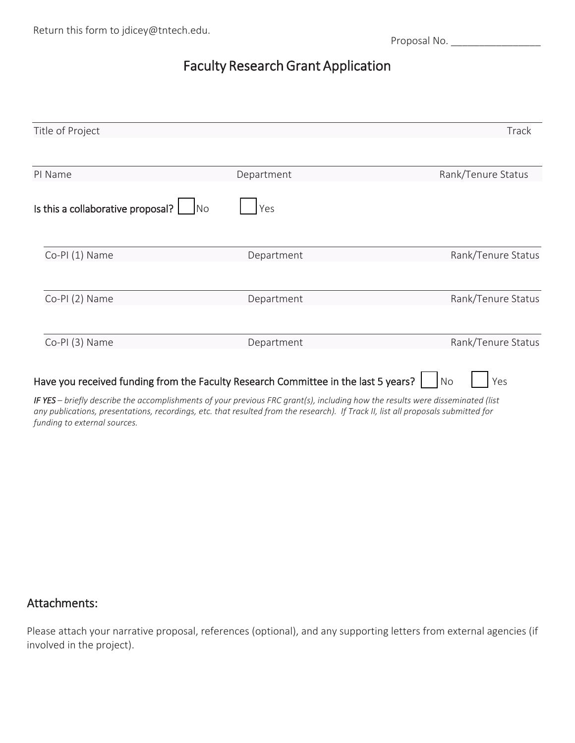Proposal No. \_\_\_\_\_\_\_\_\_\_\_\_\_\_\_\_

# Faculty Research Grant Application

| Title of Project                                                                                                                                                                                                             |            | Track                 |
|------------------------------------------------------------------------------------------------------------------------------------------------------------------------------------------------------------------------------|------------|-----------------------|
|                                                                                                                                                                                                                              |            |                       |
| PI Name                                                                                                                                                                                                                      | Department | Rank/Tenure Status    |
| Is this a collaborative proposal?<br>No                                                                                                                                                                                      | Yes        |                       |
| Co-PI (1) Name                                                                                                                                                                                                               | Department | Rank/Tenure Status    |
| Co-PI (2) Name                                                                                                                                                                                                               | Department | Rank/Tenure Status    |
| Co-PI (3) Name                                                                                                                                                                                                               | Department | Rank/Tenure Status    |
| Have you received funding from the Faculty Research Committee in the last 5 years?  <br>IF VEC botafly describe the presentation and afficing provision FBC quantiled including beauthorized the visual disconsiderated link |            | N <sub>O</sub><br>Yes |

*IF YES – briefly describe the accomplishments of your previous FRC grant(s), including how the results were disseminated (list any publications, presentations, recordings, etc. that resulted from the research). If Track II, list all proposals submitted for funding to external sources.*

### Attachments:

Please attach your narrative proposal, references (optional), and any supporting letters from external agencies (if involved in the project).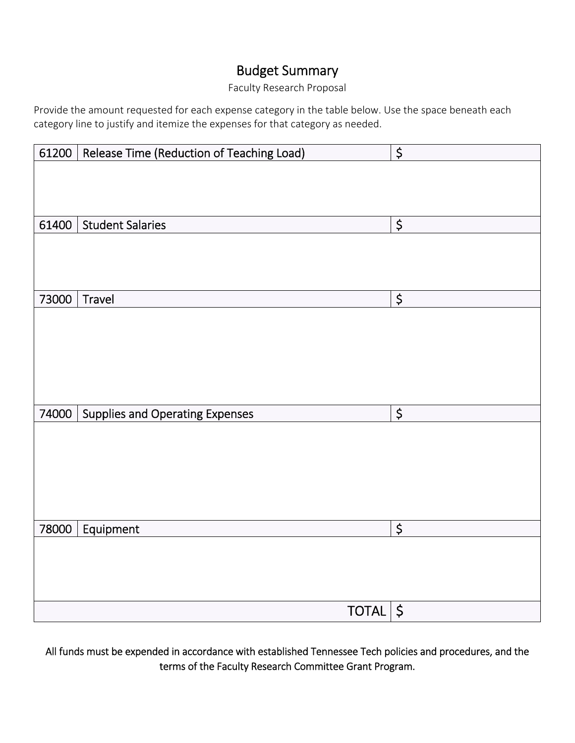# Budget Summary

#### Faculty Research Proposal

Provide the amount requested for each expense category in the table below. Use the space beneath each category line to justify and itemize the expenses for that category as needed.

| 61200 | Release Time (Reduction of Teaching Load) | $\overline{\xi}$ |
|-------|-------------------------------------------|------------------|
|       |                                           |                  |
|       |                                           |                  |
|       |                                           |                  |
| 61400 | <b>Student Salaries</b>                   | \$               |
|       |                                           |                  |
|       |                                           |                  |
|       |                                           |                  |
| 73000 | Travel                                    | $\overline{\xi}$ |
|       |                                           |                  |
|       |                                           |                  |
|       |                                           |                  |
|       |                                           |                  |
|       |                                           |                  |
| 74000 | <b>Supplies and Operating Expenses</b>    | \$               |
|       |                                           |                  |
|       |                                           |                  |
|       |                                           |                  |
|       |                                           |                  |
|       |                                           |                  |
| 78000 | Equipment                                 | \$               |
|       |                                           |                  |
|       |                                           |                  |
|       |                                           |                  |
|       |                                           |                  |
|       | $TOTAL$ \$                                |                  |

All funds must be expended in accordance with established Tennessee Tech policies and procedures, and the terms of the Faculty Research Committee Grant Program.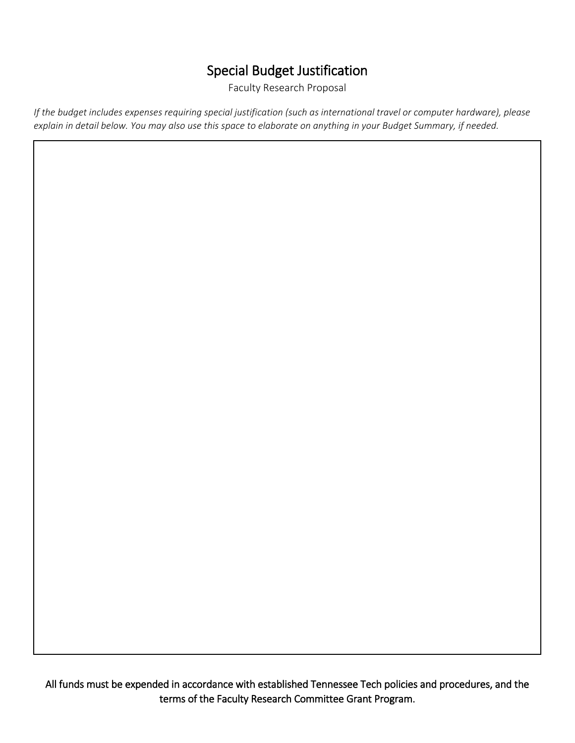## Special Budget Justification

Faculty Research Proposal

*If the budget includes expenses requiring special justification (such as international travel or computer hardware), please explain in detail below. You may also use this space to elaborate on anything in your Budget Summary, if needed.*

All funds must be expended in accordance with established Tennessee Tech policies and procedures, and the terms of the Faculty Research Committee Grant Program.